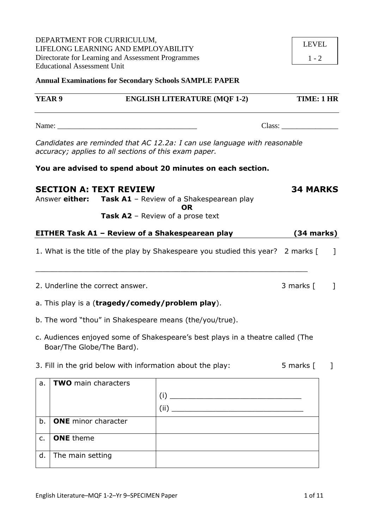d. The main setting

DEPARTMENT FOR CURRICULUM, LIFELONG LEARNING AND EMPLOYABILITY Directorate for Learning and Assessment Programmes Educational Assessment Unit

**Annual Examinations for Secondary Schools SAMPLE PAPER**

|    | <b>YEAR 9</b>              |                                  | <b>ENGLISH LITERATURE (MQF 1-2)</b>                                                                                                | TIME: 1 HR      |    |
|----|----------------------------|----------------------------------|------------------------------------------------------------------------------------------------------------------------------------|-----------------|----|
|    |                            |                                  |                                                                                                                                    | Class:          |    |
|    |                            |                                  | Candidates are reminded that AC 12.2a: I can use language with reasonable<br>accuracy; applies to all sections of this exam paper. |                 |    |
|    |                            |                                  | You are advised to spend about 20 minutes on each section.                                                                         |                 |    |
|    |                            | <b>SECTION A: TEXT REVIEW</b>    | Answer either: Task A1 - Review of a Shakespearean play<br><b>OR</b><br>Task A2 - Review of a prose text                           | <b>34 MARKS</b> |    |
|    |                            |                                  | EITHER Task A1 - Review of a Shakespearean play                                                                                    | $(34$ marks)    |    |
|    |                            |                                  | 1. What is the title of the play by Shakespeare you studied this year? 2 marks [                                                   |                 | -1 |
|    |                            | 2. Underline the correct answer. |                                                                                                                                    | 3 marks [       | 1  |
|    |                            |                                  | a. This play is a (tragedy/comedy/problem play).                                                                                   |                 |    |
|    |                            |                                  | b. The word "thou" in Shakespeare means (the/you/true).                                                                            |                 |    |
|    | Boar/The Globe/The Bard).  |                                  | c. Audiences enjoyed some of Shakespeare's best plays in a theatre called (The                                                     |                 |    |
|    |                            |                                  | 3. Fill in the grid below with information about the play:                                                                         | 5 marks [       | 1  |
| a. | <b>TWO</b> main characters |                                  |                                                                                                                                    |                 |    |
|    |                            |                                  |                                                                                                                                    |                 |    |
|    |                            |                                  | (ii)                                                                                                                               |                 |    |
| b. | <b>ONE</b> minor character |                                  |                                                                                                                                    |                 |    |
| c. | <b>ONE</b> theme           |                                  |                                                                                                                                    |                 |    |

1 - 2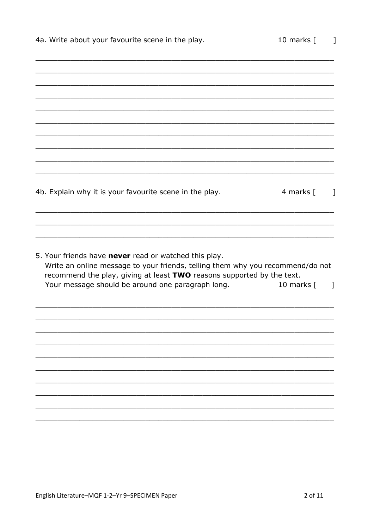| 4a. Write about your favourite scene in the play.                                                                                                                                                                 | 10 marks [       |
|-------------------------------------------------------------------------------------------------------------------------------------------------------------------------------------------------------------------|------------------|
|                                                                                                                                                                                                                   |                  |
|                                                                                                                                                                                                                   |                  |
|                                                                                                                                                                                                                   |                  |
|                                                                                                                                                                                                                   |                  |
|                                                                                                                                                                                                                   |                  |
| 4b. Explain why it is your favourite scene in the play.                                                                                                                                                           | 4 marks [<br>1   |
|                                                                                                                                                                                                                   |                  |
| 5. Your friends have never read or watched this play.<br>Write an online message to your friends, telling them why you recommend/do not<br>recommend the play, giving at least TWO reasons supported by the text. |                  |
| Your message should be around one paragraph long.                                                                                                                                                                 | 10 marks [<br>-1 |
|                                                                                                                                                                                                                   |                  |
|                                                                                                                                                                                                                   |                  |
|                                                                                                                                                                                                                   |                  |
|                                                                                                                                                                                                                   |                  |
|                                                                                                                                                                                                                   |                  |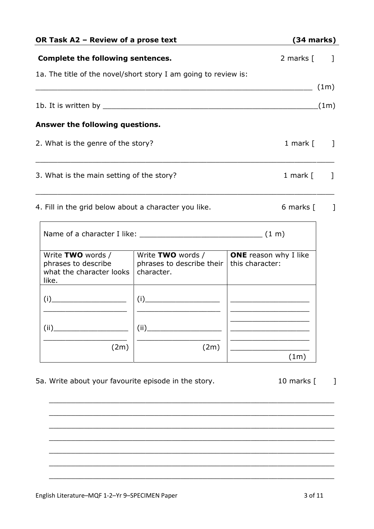| OR Task A2 - Review of a prose text                                           | $(34$ marks)                                                                                                                                                                                                                                                                                                                                                                  |                                                      |              |
|-------------------------------------------------------------------------------|-------------------------------------------------------------------------------------------------------------------------------------------------------------------------------------------------------------------------------------------------------------------------------------------------------------------------------------------------------------------------------|------------------------------------------------------|--------------|
| <b>Complete the following sentences.</b>                                      |                                                                                                                                                                                                                                                                                                                                                                               | 2 marks [                                            | 1            |
| 1a. The title of the novel/short story I am going to review is:               |                                                                                                                                                                                                                                                                                                                                                                               |                                                      |              |
|                                                                               |                                                                                                                                                                                                                                                                                                                                                                               | <u> 1989 - Jan Barnett, fransk politik (d. 1989)</u> | (1m)         |
|                                                                               |                                                                                                                                                                                                                                                                                                                                                                               |                                                      |              |
| Answer the following questions.                                               |                                                                                                                                                                                                                                                                                                                                                                               |                                                      |              |
| 2. What is the genre of the story?                                            |                                                                                                                                                                                                                                                                                                                                                                               | 1 mark $[$                                           | - 1          |
| 3. What is the main setting of the story?                                     |                                                                                                                                                                                                                                                                                                                                                                               | 1 mark $[$                                           |              |
| 4. Fill in the grid below about a character you like.                         |                                                                                                                                                                                                                                                                                                                                                                               | 6 marks [                                            | $\mathbf{1}$ |
|                                                                               |                                                                                                                                                                                                                                                                                                                                                                               |                                                      |              |
| Write TWO words /<br>phrases to describe<br>what the character looks<br>like. | Write TWO words /<br>phrases to describe their<br>character.                                                                                                                                                                                                                                                                                                                  | <b>ONE</b> reason why I like<br>this character:      |              |
|                                                                               | $(i)$ and $\overline{\phantom{a}1}$ and $\overline{\phantom{a}1}$ and $\overline{\phantom{a}1}$ and $\overline{\phantom{a}1}$ and $\overline{\phantom{a}1}$ and $\overline{\phantom{a}1}$ and $\overline{\phantom{a}1}$ and $\overline{\phantom{a}1}$ and $\overline{\phantom{a}1}$ and $\overline{\phantom{a}1}$ and $\overline{\phantom{a}1}$ and $\overline{\phantom{a}1}$ |                                                      |              |
| (ii)                                                                          | (ii)                                                                                                                                                                                                                                                                                                                                                                          |                                                      |              |
| (2m)                                                                          | (2m)                                                                                                                                                                                                                                                                                                                                                                          | (1m)                                                 |              |
| 5a. Write about your favourite episode in the story.                          |                                                                                                                                                                                                                                                                                                                                                                               | 10 marks [                                           |              |
|                                                                               |                                                                                                                                                                                                                                                                                                                                                                               |                                                      |              |
|                                                                               |                                                                                                                                                                                                                                                                                                                                                                               |                                                      |              |
|                                                                               |                                                                                                                                                                                                                                                                                                                                                                               |                                                      |              |
|                                                                               |                                                                                                                                                                                                                                                                                                                                                                               |                                                      |              |

\_\_\_\_\_\_\_\_\_\_\_\_\_\_\_\_\_\_\_\_\_\_\_\_\_\_\_\_\_\_\_\_\_\_\_\_\_\_\_\_\_\_\_\_\_\_\_\_\_\_\_\_\_\_\_\_\_\_\_\_\_\_\_\_\_

 $\_$  , and the set of the set of the set of the set of the set of the set of the set of the set of the set of the set of the set of the set of the set of the set of the set of the set of the set of the set of the set of th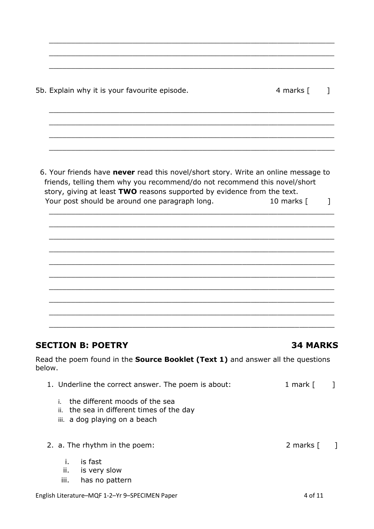5b. Explain why it is your favourite episode. 4 marks [100]

6. Your friends have **never** read this novel/short story. Write an online message to friends, telling them why you recommend/do not recommend this novel/short story, giving at least **TWO** reasons supported by evidence from the text. Your post should be around one paragraph long. 10 marks [ ]

\_\_\_\_\_\_\_\_\_\_\_\_\_\_\_\_\_\_\_\_\_\_\_\_\_\_\_\_\_\_\_\_\_\_\_\_\_\_\_\_\_\_\_\_\_\_\_\_\_\_\_\_\_\_\_\_\_\_\_\_\_\_\_\_\_

\_\_\_\_\_\_\_\_\_\_\_\_\_\_\_\_\_\_\_\_\_\_\_\_\_\_\_\_\_\_\_\_\_\_\_\_\_\_\_\_\_\_\_\_\_\_\_\_\_\_\_\_\_\_\_\_\_\_\_\_\_\_\_\_\_

 $\_$  , and the set of the set of the set of the set of the set of the set of the set of the set of the set of the set of the set of the set of the set of the set of the set of the set of the set of the set of the set of th

\_\_\_\_\_\_\_\_\_\_\_\_\_\_\_\_\_\_\_\_\_\_\_\_\_\_\_\_\_\_\_\_\_\_\_\_\_\_\_\_\_\_\_\_\_\_\_\_\_\_\_\_\_\_\_\_\_\_\_\_\_\_\_\_\_

 $\_$  , and the contribution of the contribution of  $\mathcal{L}_\mathcal{A}$  , and the contribution of  $\mathcal{L}_\mathcal{A}$  , and the contribution of  $\mathcal{L}_\mathcal{A}$ 

 $\_$  , and the set of the set of the set of the set of the set of the set of the set of the set of the set of the set of the set of the set of the set of the set of the set of the set of the set of the set of the set of th

\_\_\_\_\_\_\_\_\_\_\_\_\_\_\_\_\_\_\_\_\_\_\_\_\_\_\_\_\_\_\_\_\_\_\_\_\_\_\_\_\_\_\_\_\_\_\_\_\_\_\_\_\_\_\_\_\_\_\_\_\_\_\_\_\_

\_\_\_\_\_\_\_\_\_\_\_\_\_\_\_\_\_\_\_\_\_\_\_\_\_\_\_\_\_\_\_\_\_\_\_\_\_\_\_\_\_\_\_\_\_\_\_\_\_\_\_\_\_\_\_\_\_\_\_\_\_\_\_\_\_

\_\_\_\_\_\_\_\_\_\_\_\_\_\_\_\_\_\_\_\_\_\_\_\_\_\_\_\_\_\_\_\_\_\_\_\_\_\_\_\_\_\_\_\_\_\_\_\_\_\_\_\_\_\_\_\_\_\_\_\_\_\_\_\_\_

\_\_\_\_\_\_\_\_\_\_\_\_\_\_\_\_\_\_\_\_\_\_\_\_\_\_\_\_\_\_\_\_\_\_\_\_\_\_\_\_\_\_\_\_\_\_\_\_\_\_\_\_\_\_\_\_\_\_\_\_\_\_\_\_\_

 $\_$  , and the set of the set of the set of the set of the set of the set of the set of the set of the set of the set of the set of the set of the set of the set of the set of the set of the set of the set of the set of th

\_\_\_\_\_\_\_\_\_\_\_\_\_\_\_\_\_\_\_\_\_\_\_\_\_\_\_\_\_\_\_\_\_\_\_\_\_\_\_\_\_\_\_\_\_\_\_\_\_\_\_\_\_\_\_\_\_\_\_\_\_\_\_\_\_

\_\_\_\_\_\_\_\_\_\_\_\_\_\_\_\_\_\_\_\_\_\_\_\_\_\_\_\_\_\_\_\_\_\_\_\_\_\_\_\_\_\_\_\_\_\_\_\_\_\_\_\_\_\_\_\_\_\_\_\_\_\_\_\_\_

 $\_$  , and the set of the set of the set of the set of the set of the set of the set of the set of the set of the set of the set of the set of the set of the set of the set of the set of the set of the set of the set of th

\_\_\_\_\_\_\_\_\_\_\_\_\_\_\_\_\_\_\_\_\_\_\_\_\_\_\_\_\_\_\_\_\_\_\_\_\_\_\_\_\_\_\_\_\_\_\_\_\_\_\_\_\_\_\_\_\_\_\_\_\_\_\_\_\_

\_\_\_\_\_\_\_\_\_\_\_\_\_\_\_\_\_\_\_\_\_\_\_\_\_\_\_\_\_\_\_\_\_\_\_\_\_\_\_\_\_\_\_\_\_\_\_\_\_\_\_\_\_\_\_\_\_\_\_\_\_\_\_\_\_

 $\_$  , and the contribution of the contribution of  $\mathcal{L}_\mathcal{A}$  , and the contribution of  $\mathcal{L}_\mathcal{A}$  , and the contribution of  $\mathcal{L}_\mathcal{A}$  , and the contribution of  $\mathcal{L}_\mathcal{A}$  , and the contribution of  $\mathcal{L}_$ 

## **SECTION B: POETRY 34 MARKS**

Read the poem found in the **Source Booklet (Text 1)** and answer all the questions below.

| 1. Underline the correct answer. The poem is about:                            | 1 mark [ | $\blacksquare$ |
|--------------------------------------------------------------------------------|----------|----------------|
| i. the different moods of the sea<br>ii. the sea in different times of the day |          |                |

- iii. a dog playing on a beach
- 2. a. The rhythm in the poem: 2 marks [ ]
	- i. is fast
	- ii. is very slow
	- iii. has no pattern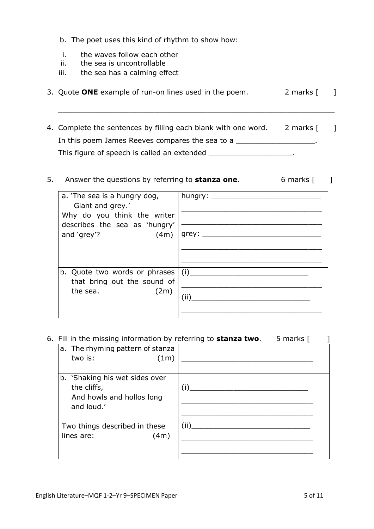- b. The poet uses this kind of rhythm to show how:
- i. the waves follow each other
- ii. the sea is uncontrollable
- iii. the sea has a calming effect

|  | 3. Quote ONE example of run-on lines used in the poem. |  | 2 marks [ |  |
|--|--------------------------------------------------------|--|-----------|--|

\_\_\_\_\_\_\_\_\_\_\_\_\_\_\_\_\_\_\_\_\_\_\_\_\_\_\_\_\_\_\_\_\_\_\_\_\_\_\_\_\_\_\_\_\_\_\_\_\_\_\_\_\_\_\_\_\_\_\_\_\_\_\_

4. Complete the sentences by filling each blank with one word. 2 marks [120] In this poem James Reeves compares the sea to a \_\_\_\_\_\_\_\_\_\_\_\_\_\_\_\_\_\_\_. This figure of speech is called an extended \_\_\_\_\_\_\_\_\_\_\_\_\_\_\_\_\_\_\_\_\_\_.

## 5. Answer the questions by referring to **stanza one**. 6 marks [ ]

| a. 'The sea is a hungry dog,<br>Giant and grey.'             | hungry: $\frac{1}{1}$ |
|--------------------------------------------------------------|-----------------------|
| Why do you think the writer<br>describes the sea as 'hungry' |                       |
| and 'grey'?<br>(4m)                                          | grey: $\_\_$          |
|                                                              |                       |
|                                                              |                       |
| b. Quote two words or phrases                                | (i)                   |
| that bring out the sound of                                  |                       |
| the sea.<br>(2m)                                             |                       |
|                                                              |                       |
|                                                              |                       |
|                                                              |                       |

### 6. Fill in the missing information by referring to **stanza two**. 5 marks [ ]

| a. The rhyming pattern of stanza<br>two is:<br>(1m)                                      |      |
|------------------------------------------------------------------------------------------|------|
| b. 'Shaking his wet sides over<br>the cliffs,<br>And howls and hollos long<br>and loud.' | (i)  |
| Two things described in these<br>lines are:<br>(4m)                                      | (ii) |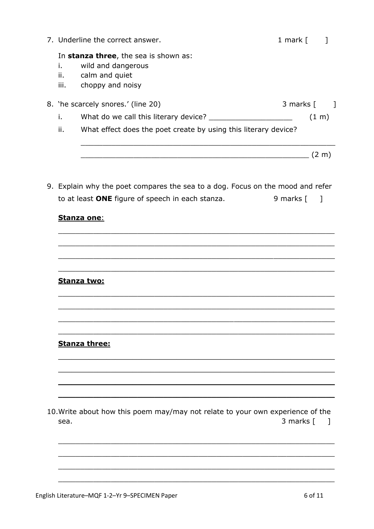|                   | 7. Underline the correct answer.                                                                  | 1 mark [  |                     |  |
|-------------------|---------------------------------------------------------------------------------------------------|-----------|---------------------|--|
| i.<br>ii.<br>iii. | In stanza three, the sea is shown as:<br>wild and dangerous<br>calm and quiet<br>choppy and noisy |           |                     |  |
|                   | 8. 'he scarcely snores.' (line 20)                                                                | 3 marks [ |                     |  |
| i.                | What do we call this literary device?                                                             |           | $(1 \; \mathrm{m})$ |  |
| ii.               | What effect does the poet create by using this literary device?                                   |           |                     |  |
|                   |                                                                                                   |           | (2 m)               |  |
|                   |                                                                                                   |           |                     |  |

9. Explain why the poet compares the sea to a dog. Focus on the mood and refer to at least ONE figure of speech in each stanza. 9 marks  $\lceil \quad \rceil$ 

## **Stanza one:**

Stanza two:

## **Stanza three:**

10. Write about how this poem may/may not relate to your own experience of the 3 marks  $[$  ] sea.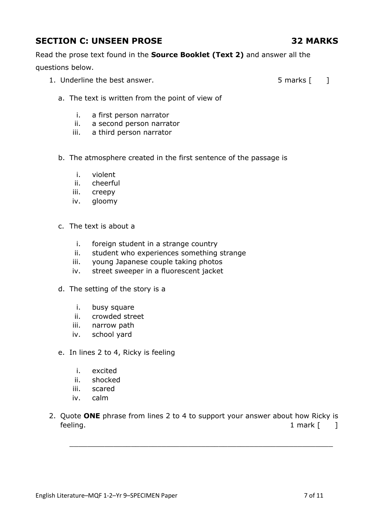# **SECTION C: UNSEEN PROSE 32 MARKS**

Read the prose text found in the **Source Booklet (Text 2)** and answer all the questions below.

1. Underline the best answer. The same state of the state of the state of the state of the state of the state of the state of the state of the state of the state of the state of the state of the state of the state of the s

- a. The text is written from the point of view of
	- i. a first person narrator
	- ii. a second person narrator
	- iii. a third person narrator
- b. The atmosphere created in the first sentence of the passage is
	- i. violent
	- ii. cheerful
	- iii. creepy
	- iv. gloomy
- c. The text is about a
	- i. foreign student in a strange country
	- ii. student who experiences something strange
	- iii. young Japanese couple taking photos
	- iv. street sweeper in a fluorescent jacket
- d. The setting of the story is a
	- i. busy square
	- ii. crowded street
	- iii. narrow path
	- iv. school yard
- e. In lines 2 to 4, Ricky is feeling
	- i. excited
	- ii. shocked
	- iii. scared
	- iv. calm
- 2. Quote **ONE** phrase from lines 2 to 4 to support your answer about how Ricky is feeling. The same state of the state of the state of the state of the state of the state of the state of the state of the state of the state of the state of the state of the state of the state of the state of the state of

 $\mathcal{L}_\text{max}$  , and the contract of the contract of the contract of the contract of the contract of the contract of the contract of the contract of the contract of the contract of the contract of the contract of the contr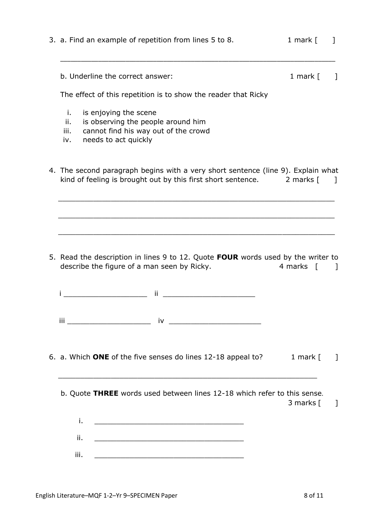| b. Underline the correct answer:<br>1 mark $[$<br>The effect of this repetition is to show the reader that Ricky<br>is enjoying the scene<br>i.<br>is observing the people around him<br>ii.<br>cannot find his way out of the crowd<br>iii.<br>needs to act quickly<br>iv.<br>4. The second paragraph begins with a very short sentence (line 9). Explain what<br>kind of feeling is brought out by this first short sentence. 2 marks [<br>5. Read the description in lines 9 to 12. Quote FOUR words used by the writer to<br>describe the figure of a man seen by Ricky.<br>4 marks<br><u> 1990 - Johann Barbara, martxa</u><br>ij<br>$\overline{\mathbf{u}}$ iii and $\overline{\mathbf{u}}$ iv and $\overline{\mathbf{u}}$ iv and $\overline{\mathbf{u}}$ iv and $\overline{\mathbf{u}}$ iv and $\overline{\mathbf{u}}$ iv and $\overline{\mathbf{u}}$ if $\overline{\mathbf{u}}$ is a set of $\overline{\mathbf{u}}$ if $\overline{\mathbf{u}}$ if $\overline{\mathbf{u}}$ if $\overline{\mathbf{u}}$ if $\overline{\mathbf$<br>6. a. Which ONE of the five senses do lines 12-18 appeal to? | 3. a. Find an example of repetition from lines 5 to 8. | 1 mark $[$ |              |
|-----------------------------------------------------------------------------------------------------------------------------------------------------------------------------------------------------------------------------------------------------------------------------------------------------------------------------------------------------------------------------------------------------------------------------------------------------------------------------------------------------------------------------------------------------------------------------------------------------------------------------------------------------------------------------------------------------------------------------------------------------------------------------------------------------------------------------------------------------------------------------------------------------------------------------------------------------------------------------------------------------------------------------------------------------------------------------------------------------|--------------------------------------------------------|------------|--------------|
|                                                                                                                                                                                                                                                                                                                                                                                                                                                                                                                                                                                                                                                                                                                                                                                                                                                                                                                                                                                                                                                                                                     |                                                        |            |              |
|                                                                                                                                                                                                                                                                                                                                                                                                                                                                                                                                                                                                                                                                                                                                                                                                                                                                                                                                                                                                                                                                                                     |                                                        |            |              |
|                                                                                                                                                                                                                                                                                                                                                                                                                                                                                                                                                                                                                                                                                                                                                                                                                                                                                                                                                                                                                                                                                                     |                                                        |            |              |
|                                                                                                                                                                                                                                                                                                                                                                                                                                                                                                                                                                                                                                                                                                                                                                                                                                                                                                                                                                                                                                                                                                     |                                                        |            |              |
|                                                                                                                                                                                                                                                                                                                                                                                                                                                                                                                                                                                                                                                                                                                                                                                                                                                                                                                                                                                                                                                                                                     |                                                        |            |              |
|                                                                                                                                                                                                                                                                                                                                                                                                                                                                                                                                                                                                                                                                                                                                                                                                                                                                                                                                                                                                                                                                                                     |                                                        |            |              |
|                                                                                                                                                                                                                                                                                                                                                                                                                                                                                                                                                                                                                                                                                                                                                                                                                                                                                                                                                                                                                                                                                                     |                                                        |            |              |
|                                                                                                                                                                                                                                                                                                                                                                                                                                                                                                                                                                                                                                                                                                                                                                                                                                                                                                                                                                                                                                                                                                     |                                                        |            |              |
|                                                                                                                                                                                                                                                                                                                                                                                                                                                                                                                                                                                                                                                                                                                                                                                                                                                                                                                                                                                                                                                                                                     |                                                        |            |              |
|                                                                                                                                                                                                                                                                                                                                                                                                                                                                                                                                                                                                                                                                                                                                                                                                                                                                                                                                                                                                                                                                                                     |                                                        |            |              |
|                                                                                                                                                                                                                                                                                                                                                                                                                                                                                                                                                                                                                                                                                                                                                                                                                                                                                                                                                                                                                                                                                                     |                                                        |            |              |
|                                                                                                                                                                                                                                                                                                                                                                                                                                                                                                                                                                                                                                                                                                                                                                                                                                                                                                                                                                                                                                                                                                     |                                                        |            |              |
|                                                                                                                                                                                                                                                                                                                                                                                                                                                                                                                                                                                                                                                                                                                                                                                                                                                                                                                                                                                                                                                                                                     |                                                        |            |              |
|                                                                                                                                                                                                                                                                                                                                                                                                                                                                                                                                                                                                                                                                                                                                                                                                                                                                                                                                                                                                                                                                                                     |                                                        |            |              |
|                                                                                                                                                                                                                                                                                                                                                                                                                                                                                                                                                                                                                                                                                                                                                                                                                                                                                                                                                                                                                                                                                                     |                                                        |            |              |
|                                                                                                                                                                                                                                                                                                                                                                                                                                                                                                                                                                                                                                                                                                                                                                                                                                                                                                                                                                                                                                                                                                     |                                                        |            |              |
|                                                                                                                                                                                                                                                                                                                                                                                                                                                                                                                                                                                                                                                                                                                                                                                                                                                                                                                                                                                                                                                                                                     |                                                        |            |              |
|                                                                                                                                                                                                                                                                                                                                                                                                                                                                                                                                                                                                                                                                                                                                                                                                                                                                                                                                                                                                                                                                                                     |                                                        | 1 mark $[$ |              |
| b. Quote THREE words used between lines 12-18 which refer to this sense.                                                                                                                                                                                                                                                                                                                                                                                                                                                                                                                                                                                                                                                                                                                                                                                                                                                                                                                                                                                                                            |                                                        |            |              |
| 3 marks [                                                                                                                                                                                                                                                                                                                                                                                                                                                                                                                                                                                                                                                                                                                                                                                                                                                                                                                                                                                                                                                                                           |                                                        |            |              |
| i.                                                                                                                                                                                                                                                                                                                                                                                                                                                                                                                                                                                                                                                                                                                                                                                                                                                                                                                                                                                                                                                                                                  |                                                        |            |              |
| ii.                                                                                                                                                                                                                                                                                                                                                                                                                                                                                                                                                                                                                                                                                                                                                                                                                                                                                                                                                                                                                                                                                                 |                                                        |            | $\mathbb{I}$ |
| iii.<br><u> 1989 - Johann John Stein, mars an deutscher Stein († 1958)</u>                                                                                                                                                                                                                                                                                                                                                                                                                                                                                                                                                                                                                                                                                                                                                                                                                                                                                                                                                                                                                          |                                                        |            |              |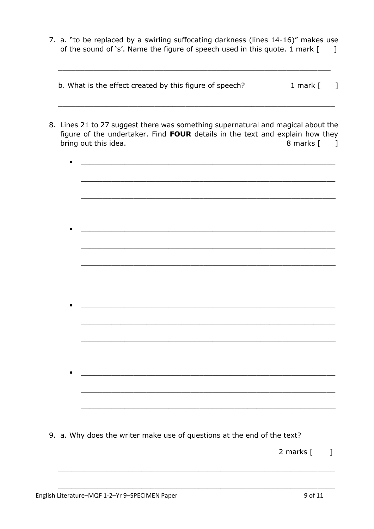7. a. "to be replaced by a swirling suffocating darkness (lines 14-16)" makes use of the sound of 's'. Name the figure of speech used in this quote. 1 mark [  $\Box$ 

|  | b. What is the effect created by this figure of speech? |  | 1 mark [ |  |
|--|---------------------------------------------------------|--|----------|--|
|  |                                                         |  |          |  |

- 8. Lines 21 to 27 suggest there was something supernatural and magical about the figure of the undertaker. Find FOUR details in the text and explain how they bring out this idea. 8 marks  $\lceil \cdot \rceil$ 
	- $\bullet$ <u> 1989 - Johann Barbara, martxa amerikan bashkar (</u> <u> 1980 - Johann Barbara, margaret eta idazlearia (h. 1980).</u>
- 9. a. Why does the writer make use of questions at the end of the text?
	- 2 marks  $\lceil \cdot \cdot \rceil$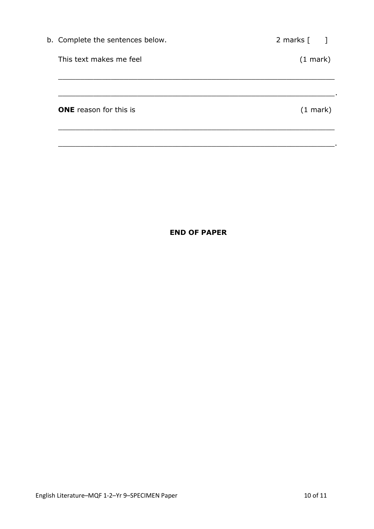| b. Complete the sentences below. | 2 marks $\begin{bmatrix} 1 \end{bmatrix}$ |
|----------------------------------|-------------------------------------------|
| This text makes me feel          | $(1 \text{ mark})$                        |
|                                  |                                           |
|                                  |                                           |
| <b>ONE</b> reason for this is    | $(1 \text{ mark})$                        |
|                                  |                                           |

\_\_\_\_\_\_\_\_\_\_\_\_\_\_\_\_\_\_\_\_\_\_\_\_\_\_\_\_\_\_\_\_\_\_\_\_\_\_\_\_\_\_\_\_\_\_\_\_\_\_\_\_\_\_\_\_\_\_\_\_\_\_\_.

## **END OF PAPER**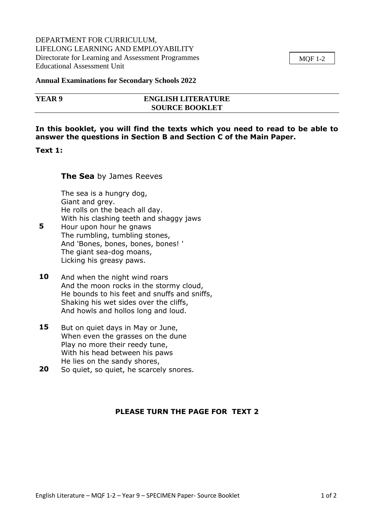### DEPARTMENT FOR CURRICULUM, LIFELONG LEARNING AND EMPLOYABILITY Directorate for Learning and Assessment Programmes Educational Assessment Unit

MQF 1-2

#### **Annual Examinations for Secondary Schools 2022**

| YEAR 9 | <b>ENGLISH LITERATURE</b> |  |
|--------|---------------------------|--|
|        | <b>SOURCE BOOKLET</b>     |  |

### **In this booklet, you will find the texts which you need to read to be able to answer the questions in Section B and Section C of the Main Paper.**

#### **Text 1:**

#### **The Sea** by James Reeves

The sea is a hungry dog, Giant and grey. He rolls on the beach all day. With his clashing teeth and shaggy jaws

- **5** Hour upon hour he gnaws The rumbling, tumbling stones, And 'Bones, bones, bones, bones! ' The giant sea-dog moans, Licking his greasy paws.
- **10** And when the night wind roars And the moon rocks in the stormy cloud, He bounds to his feet and snuffs and sniffs, Shaking his wet sides over the cliffs, And howls and hollos long and loud.
- **15** But on quiet days in May or June, When even the grasses on the dune Play no more their reedy tune, With his head between his paws He lies on the sandy shores,
- **20** So quiet, so quiet, he scarcely snores.

## **PLEASE TURN THE PAGE FOR TEXT 2**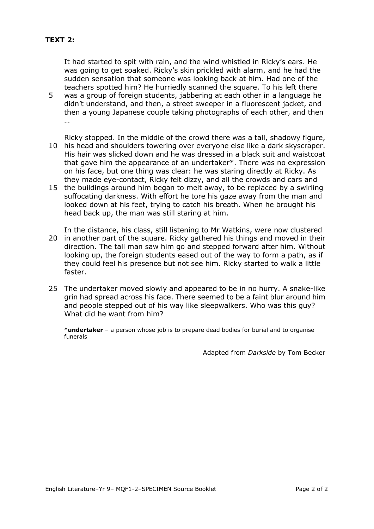## **TEXT 2:**

It had started to spit with rain, and the wind whistled in Ricky's ears. He was going to get soaked. Ricky's skin prickled with alarm, and he had the sudden sensation that someone was looking back at him. Had one of the teachers spotted him? He hurriedly scanned the square. To his left there 5 was a group of foreign students, jabbering at each other in a language he didn't understand, and then, a street sweeper in a fluorescent jacket, and then a young Japanese couple taking photographs of each other, and then …

Ricky stopped. In the middle of the crowd there was a tall, shadowy figure, 10 his head and shoulders towering over everyone else like a dark skyscraper. His hair was slicked down and he was dressed in a black suit and waistcoat that gave him the appearance of an undertaker\*. There was no expression on his face, but one thing was clear: he was staring directly at Ricky. As they made eye-contact, Ricky felt dizzy, and all the crowds and cars and

15 the buildings around him began to melt away, to be replaced by a swirling suffocating darkness. With effort he tore his gaze away from the man and looked down at his feet, trying to catch his breath. When he brought his head back up, the man was still staring at him.

In the distance, his class, still listening to Mr Watkins, were now clustered 20 in another part of the square. Ricky gathered his things and moved in their direction. The tall man saw him go and stepped forward after him. Without looking up, the foreign students eased out of the way to form a path, as if they could feel his presence but not see him. Ricky started to walk a little faster.

25 The undertaker moved slowly and appeared to be in no hurry. A snake-like grin had spread across his face. There seemed to be a faint blur around him and people stepped out of his way like sleepwalkers. Who was this guy? What did he want from him?

\***undertaker** – a person whose job is to prepare dead bodies for burial and to organise funerals

Adapted from *Darkside* by Tom Becker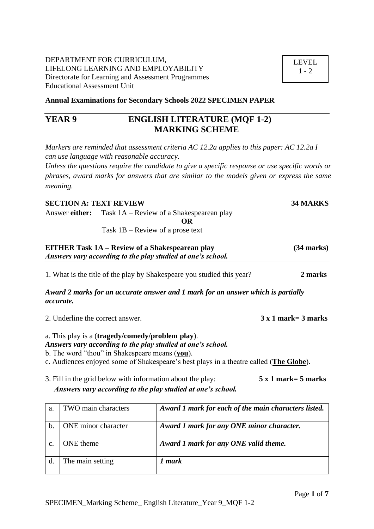### DEPARTMENT FOR CURRICULUM, LIFELONG LEARNING AND EMPLOYABILITY Directorate for Learning and Assessment Programmes Educational Assessment Unit

**Annual Examinations for Secondary Schools 2022 SPECIMEN PAPER**

# **YEAR 9 ENGLISH LITERATURE (MQF 1-2) MARKING SCHEME**

*Markers are reminded that assessment criteria AC 12.2a applies to this paper: AC 12.2a I can use language with reasonable accuracy.*

*Unless the questions require the candidate to give a specific response or use specific words or phrases, award marks for answers that are similar to the models given or express the same meaning.*

### **SECTION A: TEXT REVIEW 34 MARKS**

Answer **either:** Task 1A – Review of a Shakespearean play

**OR**

Task 1B – Review of a prose text

| <b>EITHER Task 1A – Review of a Shakespearean play</b><br>Answers vary according to the play studied at one's school. | $(34$ marks) |
|-----------------------------------------------------------------------------------------------------------------------|--------------|
| 1. What is the title of the play by Shakespeare you studied this year?                                                | 2 marks      |

*Award 2 marks for an accurate answer and 1 mark for an answer which is partially accurate.*

2. Underline the correct answer. **3 x 1 mark= 3 marks** 

a. This play is a (**tragedy/comedy/problem play**).

*Answers vary according to the play studied at one's school.*

b. The word "thou" in Shakespeare means (**you**).

- c. Audiences enjoyed some of Shakespeare's best plays in a theatre called (**The Globe**).
- 3. Fill in the grid below with information about the play: **5 x 1 mark= 5 marks** *Answers vary according to the play studied at one's school.*

| a.           | TWO main characters | Award 1 mark for each of the main characters listed. |
|--------------|---------------------|------------------------------------------------------|
| b.           | ONE minor character | Award 1 mark for any ONE minor character.            |
| $\mathbf{C}$ | ONE theme           | Award 1 mark for any ONE valid theme.                |
|              | The main setting    | l mark                                               |

LEVEL  $1 - 2$ 

Page **1** of **7**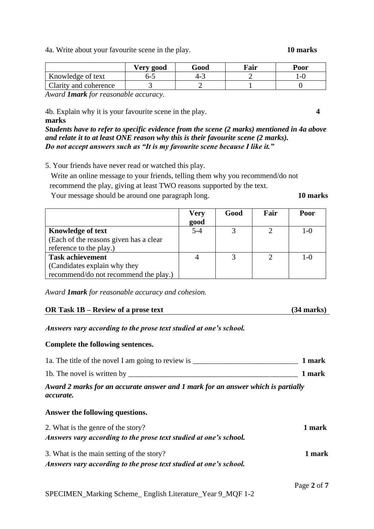SPECIMEN\_Marking Scheme\_ English Literature\_Year 9\_MQF 1-2

4a. Write about your favourite scene in the play. **10 marks**

|                                        | Verv good | Good | $\sqrt{a}$ ir | Poor |
|----------------------------------------|-----------|------|---------------|------|
| Knowledge of text                      | כ-ס       |      |               | -1   |
| <b>Clarity and coherence</b>           |           |      |               |      |
| - - -<br>- - -<br>$\sim$ $\sim$ $\sim$ | - -       |      |               |      |

*Award 1mark for reasonable accuracy.*

4b. Explain why it is your favourite scene in the play. **4**

**marks** *Students have to refer to specific evidence from the scene (2 marks) mentioned in 4a above and relate it to at least ONE reason why this is their favourite scene (2 marks). Do not accept answers such as "It is my favourite scene because I like it."*

5. Your friends have never read or watched this play.

 Write an online message to your friends, telling them why you recommend/do not recommend the play, giving at least TWO reasons supported by the text.

Your message should be around one paragraph long. **10 marks**

|                                        | <b>Very</b> | Good | Fair | Poor    |
|----------------------------------------|-------------|------|------|---------|
|                                        | good        |      |      |         |
| Knowledge of text                      | $5 - 4$     |      |      | $1 - 0$ |
| (Each of the reasons given has a clear |             |      |      |         |
| reference to the play.)                |             |      |      |         |
| <b>Task achievement</b>                |             |      | ∍    | $1 - 0$ |
| (Candidates explain why they           |             |      |      |         |
| recommend/do not recommend the play.)  |             |      |      |         |

*Award 1mark for reasonable accuracy and cohesion.*

## **OR Task 1B – Review of a prose text (34 marks)**

*Answers vary according to the prose text studied at one's school.*

## **Complete the following sentences.**

| 1a. The title of the novel I am going to review is | 1 mark |
|----------------------------------------------------|--------|
| 1b. The novel is written by                        | 1 mark |

*Award 2 marks for an accurate answer and 1 mark for an answer which is partially accurate.*

## **Answer the following questions.**

| 2. What is the genre of the story?                                | 1 mark |
|-------------------------------------------------------------------|--------|
| Answers vary according to the prose text studied at one's school. |        |
| 3. What is the main setting of the story?                         | 1 mark |
| Answers vary according to the prose text studied at one's school. |        |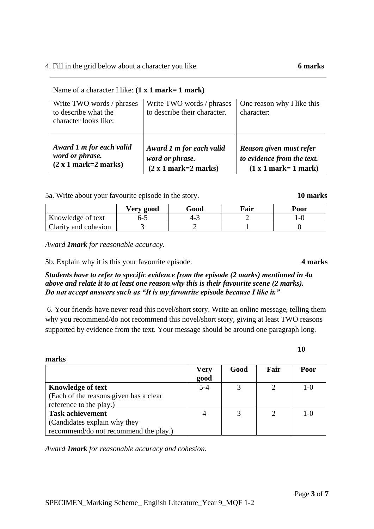## 4. Fill in the grid below about a character you like. **6 marks**

| Name of a character I like: $(1 x 1 mark = 1 mark)$                        |                                                                       |                                                                                  |  |  |  |
|----------------------------------------------------------------------------|-----------------------------------------------------------------------|----------------------------------------------------------------------------------|--|--|--|
| Write TWO words / phrases<br>to describe what the<br>character looks like: | Write TWO words / phrases<br>to describe their character.             | One reason why I like this<br>character:                                         |  |  |  |
| Award 1 m for each valid<br>word or phrase.<br>$(2 x 1 mark=2 marks)$      | Award 1 m for each valid<br>word or phrase.<br>$(2 x 1 mark=2 marks)$ | Reason given must refer<br>to evidence from the text.<br>$(1 x 1 mark = 1 mark)$ |  |  |  |

5a. Write about your favourite episode in the story. **10 marks**

|                      | Very good | Good | Fair | Poor |
|----------------------|-----------|------|------|------|
| Knowledge of text    | つ-こ       | 4-J  |      | -1   |
| Clarity and cohesion |           |      |      |      |

*Award 1mark for reasonable accuracy.*

**marks**

**Knowledge of text**

**Task achievement**

reference to the play.)

(Candidates explain why they

5b. Explain why it is this your favourite episode. **4 marks**

*Students have to refer to specific evidence from the episode (2 marks) mentioned in 4a above and relate it to at least one reason why this is their favourite scene (2 marks). Do not accept answers such as "It is my favourite episode because I like it."*

6. Your friends have never read this novel/short story. Write an online message, telling them why you recommend/do not recommend this novel/short story, giving at least TWO reasons supported by evidence from the text. Your message should be around one paragraph long.

> **Very good**

*Award 1mark for reasonable accuracy and cohesion.*

(Each of the reasons given has a clear

recommend/do not recommend the play.)

# **10**

**Good Fair Poor**

5-4 3 2 1-0

4 | 3 | 2 | 1-0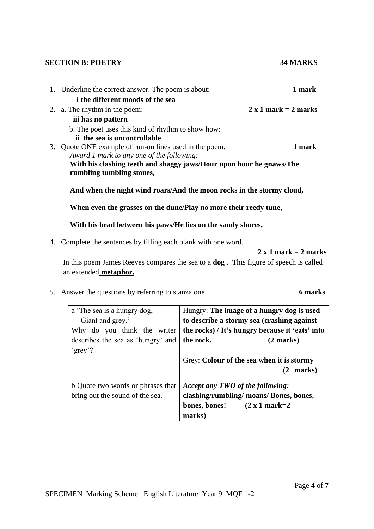#### **SECTION B: POETRY 34 MARKS**

# 1. Underline the correct answer. The poem is about: **1 mark i the different moods of the sea** 2. a. The rhythm in the poem:  $2 \times 1$  mark =  $2 \text{ marks}$  **iii has no pattern** b. The poet uses this kind of rhythm to show how:  **ii the sea is uncontrollable** 3. Quote ONE example of run-on lines used in the poem. **1 mark** *Award 1 mark to any one of the following:* **With his clashing teeth and shaggy jaws/Hour upon hour he gnaws/The rumbling tumbling stones, And when the night wind roars/And the moon rocks in the stormy cloud, When even the grasses on the dune/Play no more their reedy tune,**

**With his head between his paws/He lies on the sandy shores,**

4. Complete the sentences by filling each blank with one word.

## **2 x 1 mark = 2 marks**

In this poem James Reeves compares the sea to a **dog** . This figure of speech is called an extended **metaphor.**

5. Answer the questions by referring to stanza one. **6 marks**

| a 'The sea is a hungry dog,                   | Hungry: The image of a hungry dog is used       |  |
|-----------------------------------------------|-------------------------------------------------|--|
| Giant and grey.'                              | to describe a stormy sea (crashing against      |  |
| Why do you think the writer                   | the rocks) / It's hungry because it 'eats' into |  |
| describes the sea as 'hungry' and   the rock. | $(2 \text{ marks})$                             |  |
| 'grey'?                                       |                                                 |  |
|                                               | Grey: Colour of the sea when it is stormy       |  |
|                                               | marks)                                          |  |
| b Quote two words or phrases that             | Accept any TWO of the following:                |  |
| bring out the sound of the sea.               | clashing/rumbling/-moans/ Bones, bones,         |  |

**marks)**

**bones, bones!****(2 x 1 mark=2**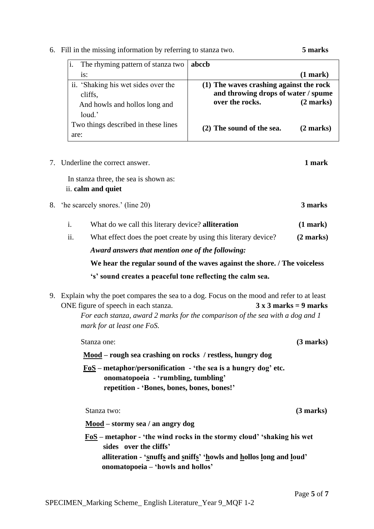i. The rhyming pattern of stanza two **abccb** 

| $(1$ mark $)$                                                                                                                  |
|--------------------------------------------------------------------------------------------------------------------------------|
|                                                                                                                                |
|                                                                                                                                |
| (2 marks)                                                                                                                      |
|                                                                                                                                |
| $(2$ marks)                                                                                                                    |
|                                                                                                                                |
| (1) The waves crashing against the rock<br>and throwing drops of water / spume<br>over the rocks.<br>(2) The sound of the sea. |

6. Fill in the missing information by referring to stanza two. **5 marks**

7. Underline the correct answer. **1 mark** In stanza three, the sea is shown as: ii. **calm and quiet** 8. 'he scarcely snores.' (line 20) **3 marks** i. What do we call this literary device? **alliteration (1 mark)** ii. What effect does the poet create by using this literary device? **(2 marks)** *Award answers that mention one of the following:*  **We hear the regular sound of the waves against the shore. / The voiceless 's' sound creates a peaceful tone reflecting the calm sea.**  9. Explain why the poet compares the sea to a dog. Focus on the mood and refer to at least ONE figure of speech in each stanza. **3 x 3 marks = 9 marks** *For each stanza, award 2 marks for the comparison of the sea with a dog and 1 mark for at least one FoS.* Stanza one: **(3 marks) (3 marks) Mood – rough sea crashing on rocks / restless, hungry dog FoS – metaphor/personification - 'the sea is a hungry dog' etc. onomatopoeia - 'rumbling, tumbling' repetition - 'Bones, bones, bones, bones!'**

Stanza two: **(3 marks)**

**Mood – stormy sea / an angry dog** 

 **FoS – metaphor - 'the wind rocks in the stormy cloud' 'shaking his wet sides over the cliffs' alliteration - 'snuffs and sniffs' 'howls and hollos long and loud' onomatopoeia – 'howls and hollos'**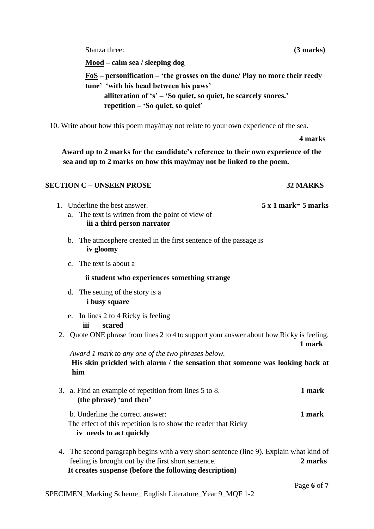Stanza three: **(3 marks) (3 marks)** 

**Mood – calm sea / sleeping dog** 

**FoS – personification – 'the grasses on the dune/ Play no more their reedy tune' 'with his head between his paws' alliteration of 's' – 'So quiet, so quiet, he scarcely snores.' repetition – 'So quiet, so quiet'**

10. Write about how this poem may/may not relate to your own experience of the sea.

### **4 marks**

 **Award up to 2 marks for the candidate's reference to their own experience of the sea and up to 2 marks on how this may/may not be linked to the poem.** 

## **SECTION C – UNSEEN PROSE 32 MARKS**

# 1. Underline the best answer. **5 x 1 mark= 5 marks** a. The text is written from the point of view of  **iii a third person narrator** b. The atmosphere created in the first sentence of the passage is  **iv gloomy** c. The text is about a **ii student who experiences something strange** d. The setting of the story is a  **i busy square** e. In lines 2 to 4 Ricky is feeling **iii scared** 2. Quote ONE phrase from lines 2 to 4 to support your answer about how Ricky is feeling. **1 mark** *Award 1 mark to any one of the two phrases below.*   **His skin prickled with alarm / the sensation that someone was looking back at him** 3. a. Find an example of repetition from lines 5 to 8. **1 mark (the phrase) 'and then'**  b. Underline the correct answer: **1 mark** The effect of this repetition is to show the reader that Ricky **iv needs to act quickly**

4. The second paragraph begins with a very short sentence (line 9). Explain what kind of feeling is brought out by the first short sentence. **2 marks It creates suspense (before the following description)**